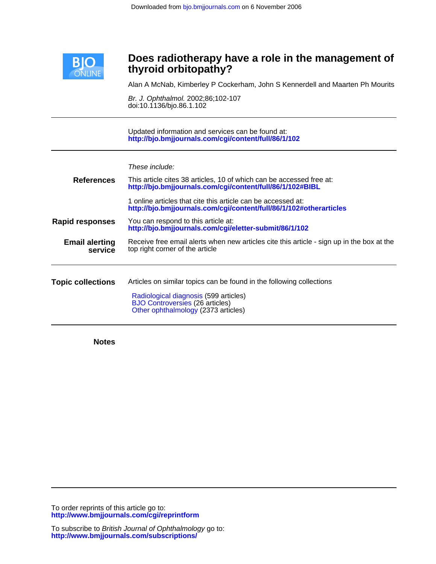

### **thyroid orbitopathy? Does radiotherapy have a role in the management of**

Alan A McNab, Kimberley P Cockerham, John S Kennerdell and Maarten Ph Mourits

doi:10.1136/bjo.86.1.102 Br. J. Ophthalmol. 2002;86;102-107

**<http://bjo.bmjjournals.com/cgi/content/full/86/1/102>** Updated information and services can be found at:

| These include: |  |
|----------------|--|
|                |  |

| <b>References</b>                | This article cites 38 articles, 10 of which can be accessed free at:<br>http://bjo.bmjjournals.com/cgi/content/full/86/1/102#BIBL                                                              |  |
|----------------------------------|------------------------------------------------------------------------------------------------------------------------------------------------------------------------------------------------|--|
|                                  | 1 online articles that cite this article can be accessed at:<br>http://bjo.bmjjournals.com/cgi/content/full/86/1/102#otherarticles                                                             |  |
| <b>Rapid responses</b>           | You can respond to this article at:<br>http://bjo.bmjjournals.com/cgi/eletter-submit/86/1/102                                                                                                  |  |
| <b>Email alerting</b><br>service | Receive free email alerts when new articles cite this article - sign up in the box at the<br>top right corner of the article                                                                   |  |
| <b>Topic collections</b>         | Articles on similar topics can be found in the following collections<br>Radiological diagnosis (599 articles)<br><b>BJO Controversies (26 articles)</b><br>Other ophthalmology (2373 articles) |  |

**Notes**

**<http://www.bmjjournals.com/cgi/reprintform>** To order reprints of this article go to: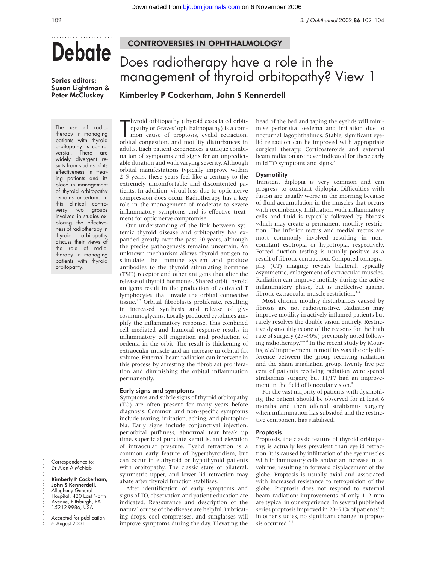# **Debate**

.......................

Series editors: Susan Lightman & Peter McCluskey

### Does radiotherapy have a role in the management of thyroid orbitopathy? View 1

Kimberley P Cockerham, John S Kennerdell

CONTROVERSIES IN OPHTHALMOLOGY

The use of radiotherapy in managing patients with thyroid orbitopathy is controversial. There are widely divergent results from studies of its effectiveness in treating patients and its place in management of thyroid orbitopathy remains uncertain. In this clinical controversy two groups involved in studies exploring the effectiveness of radiotherapy in thyroid orbitopathy discuss their views of the role of radiotherapy in managing patients with thyroid orbitopathy.

Correspondence to: Dr Alan A McNab

Kimberly P Cockerham, John S Kennerdell, Allegheny General Hospital, 420 East North Avenue, Pittsburgh, PA 15212-9986, USA

..........................

Accepted for publication 6 August 2001

hyroid orbitopathy (thyroid associated orbit-<br>opathy or Graves' ophthalmopathy) is a com-<br>mon-cause-of-proptosis, eyelid retraction,<br>orbital congestion, and motility disturbances in hyroid orbitopathy (thyroid associated orbitopathy or Graves' ophthalmopathy) is a common cause of proptosis, eyelid retraction, adults. Each patient experiences a unique combination of symptoms and signs for an unpredictable duration and with varying severity. Although orbital manifestations typically improve within 2–5 years, these years feel like a century to the extremely uncomfortable and discontented patients. In addition, visual loss due to optic nerve compression does occur. Radiotherapy has a key role in the management of moderate to severe inflammatory symptoms and is effective treatment for optic nerve compromise.

Our understanding of the link between systemic thyroid disease and orbitopathy has expanded greatly over the past 20 years, although the precise pathogenesis remains uncertain. An unknown mechanism allows thyroid antigen to stimulate the immune system and produce antibodies to the thyroid stimulating hormone (TSH) receptor and other antigens that alter the release of thyroid hormones. Shared orbit thyroid antigens result in the production of activated T lymphocytes that invade the orbital connective tissue.1 2 Orbital fibroblasts proliferate, resulting in increased synthesis and release of glycosaminoglycans. Locally produced cytokines amplify the inflammatory response. This combined cell mediated and humoral response results in inflammatory cell migration and production of oedema in the orbit. The result is thickening of extraocular muscle and an increase in orbital fat volume. External beam radiation can intervene in this process by arresting the fibroblast proliferation and diminishing the orbital inflammation permanently.

#### Early signs and symptoms

Symptoms and subtle signs of thyroid orbitopathy (TO) are often present for many years before diagnosis. Common and non-specific symptoms include tearing, irritation, aching, and photophobia. Early signs include conjunctival injection, periorbital puffiness, abnormal tear break up time, superficial punctate keratitis, and elevation of intraocular pressure. Eyelid retraction is a common early feature of hyperthyroidism, but can occur in euthyroid or hypothyroid patients with orbitopathy. The classic stare of bilateral, symmetric upper, and lower lid retraction may abate after thyroid function stabilises.

After identification of early symptoms and signs of TO, observation and patient education are indicated. Reassurance and description of the natural course of the disease are helpful. Lubricating drops, cool compresses, and sunglasses will improve symptoms during the day. Elevating the head of the bed and taping the eyelids will minimise periorbital oedema and irritation due to nocturnal lagophthalmos. Stable, significant eyelid retraction can be improved with appropriate surgical therapy. Corticosteroids and external beam radiation are never indicated for these early mild TO symptoms and signs.<sup>3</sup>

#### **Dysmotility**

Transient diplopia is very common and can progress to constant diplopia. Difficulties with fusion are usually worse in the morning because of fluid accumulation in the muscles that occurs with recumbency. Infiltration with inflammatory cells and fluid is typically followed by fibrosis which may create a permanent motility restriction. The inferior rectus and medial rectus are most commonly involved resulting in noncomitant esotropia or hypotropia, respectively. Forced duction testing is usually positive as a result of fibrotic contraction. Computed tomography (CT) imaging reveals bilateral, typically asymmetric, enlargement of extraocular muscles. Radiation can improve motility during the active inflammatory phase, but is ineffective against fibrotic extraocular muscle restriction.<sup>4-</sup>

Most chronic motility disturbances caused by fibrosis are not radiosensitive. Radiation may improve motility in actively inflamed patients but rarely resolves the double vision entirely. Restrictive dysmotility is one of the reasons for the high rate of surgery (25–90%) previously noted following radiotherapy. $4-68$  In the recent study by Mourits, *et al* improvement in motility was the only difference between the group receiving radiation and the sham irradiation group. Twenty five per cent of patients receiving radiation were spared strabismus surgery, but 11/17 had an improvement in the field of binocular vision.<sup>8</sup>

For the vast majority of patients with dysmotility, the patient should be observed for at least 6 months and then offered strabismus surgery when inflammation has subsided and the restrictive component has stabilised.

#### **Proptosis**

Proptosis, the classic feature of thyroid orbitopathy, is actually less prevalent than eyelid retraction. It is caused by infiltration of the eye muscles with inflammatory cells and/or an increase in fat volume, resulting in forward displacement of the globe. Proptosis is usually axial and associated with increased resistance to retropulsion of the globe. Proptosis does not respond to external beam radiation; improvements of only 1–2 mm are typical in our experience. In several published series proptosis improved in 23–51% of patients<sup>4-6</sup>; in other studies, no significant change in proptosis occurred.<sup>7</sup>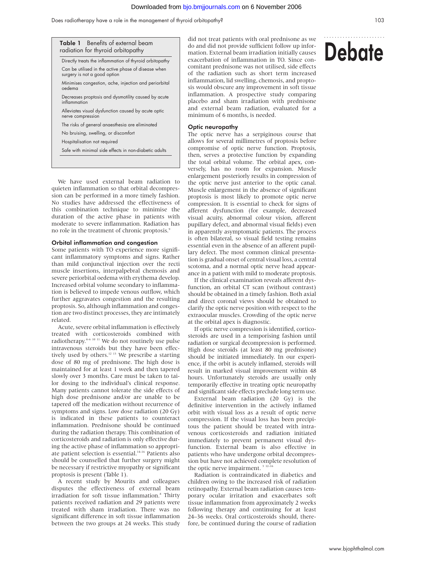#### Downloaded from [bjo.bmjjournals.com](http://bjo.bmjjournals.com) on 6 November 2006

Does radiotherapy have a role in the management of thyroid orbitopathy? 103

#### Table 1 Benefits of external beam radiation for thyroid orbitopathy

Directly treats the inflammation of thyroid orbitopathy Can be utilised in the active phase of disease when surgery is not a good option

Minimises congestion, ache, injection and periorbital oedema

Decreases proptosis and dysmotility caused by acute inflammation

Alleviates visual dysfunction caused by acute optic nerve compression

The risks of general anaesthesia are eliminated

No bruising, swelling, or discomfort

Hospitalisation not required

Safe with minimal side effects in non-diabetic adults

We have used external beam radiation to quieten inflammation so that orbital decompression can be performed in a more timely fashion. No studies have addressed the effectiveness of this combination technique to minimise the duration of the active phase in patients with moderate to severe inflammation. Radiation has no role in the treatment of chronic proptosis.<sup>9</sup>

#### Orbital inflammation and congestion

Some patients with TO experience more significant inflammatory symptoms and signs. Rather than mild conjunctival injection over the recti muscle insertions, interpalpebral chemosis and severe periorbital oedema with erythema develop. Increased orbital volume secondary to inflammation is believed to impede venous outflow, which further aggravates congestion and the resulting proptosis. So, although inflammation and congestion are two distinct processes, they are intimately related.

Acute, severe orbital inflammation is effectively treated with corticosteroids combined with radiotherapy.4–6 10 11 We do not routinely use pulse intravenous steroids but they have been effectively used by others. $12 \frac{13}{13}$  We prescribe a starting dose of 80 mg of prednisone. The high dose is maintained for at least 1 week and then tapered slowly over 3 months. Care must be taken to tailor dosing to the individual's clinical response. Many patients cannot tolerate the side effects of high dose prednisone and/or are unable to be tapered off the medication without recurrence of symptoms and signs. Low dose radiation (20 Gy) is indicated in these patients to counteract inflammation. Prednisone should be continued during the radiation therapy. This combination of corticosteroids and radiation is only effective during the active phase of inflammation so appropriate patient selection is essential.<sup>14-16</sup> Patients also should be counselled that further surgery might be necessary if restrictive myopathy or significant proptosis is present (Table 1).

A recent study by Mourits and colleagues disputes the effectiveness of external beam irradiation for soft tissue inflammation.<sup>8</sup> Thirty patients received radiation and 29 patients were treated with sham irradiation. There was no significant difference in soft tissue inflammation between the two groups at 24 weeks. This study

did not treat patients with oral prednisone as we do and did not provide sufficient follow up information. External beam irradiation initially causes exacerbation of inflammation in TO. Since concomitant prednisone was not utilised, side effects of the radiation such as short term increased inflammation, lid swelling, chemosis, and proptosis would obscure any improvement in soft tissue inflammation. A prospective study comparing placebo and sham irradiation with prednisone and external beam radiation, evaluated for a minimum of 6 months, is needed.

#### Optic neuropathy

The optic nerve has a serpiginous course that allows for several millimetres of proptosis before compromise of optic nerve function. Proptosis, then, serves a protective function by expanding the total orbital volume. The orbital apex, conversely, has no room for expansion. Muscle enlargement posteriorly results in compression of the optic nerve just anterior to the optic canal. Muscle enlargement in the absence of significant proptosis is most likely to promote optic nerve compression. It is essential to check for signs of afferent dysfunction (for example, decreased visual acuity, abnormal colour vision, afferent pupillary defect, and abnormal visual fields) even in apparently asymptomatic patients. The process is often bilateral, so visual field testing remains essential even in the absence of an afferent pupillary defect. The most common clinical presentation is gradual onset of central visual loss, a central scotoma, and a normal optic nerve head appearance in a patient with mild to moderate proptosis.

If the clinical examination reveals afferent dysfunction, an orbital CT scan (without contrast) should be obtained in a timely fashion. Both axial and direct coronal views should be obtained to clarify the optic nerve position with respect to the extraocular muscles. Crowding of the optic nerve at the orbital apex is diagnostic.

If optic nerve compression is identified, corticosteroids are used in a temporising fashion until radiation or surgical decompression is performed. High dose steroids (at least 80 mg prednisone) should be initiated immediately. In our experience, if the orbit is acutely inflamed, steroids will result in marked visual improvement within 48 hours. Unfortunately steroids are usually only temporarily effective in treating optic neuropathy and significant side effects preclude long term use.

External beam radiation (20 Gy) is the definitive intervention in the actively inflamed orbit with visual loss as a result of optic nerve compression. If the visual loss has been precipitous the patient should be treated with intravenous corticosteroids and radiation initiated immediately to prevent permanent visual dysfunction. External beam is also effective in patients who have undergone orbital decompression but have not achieved complete resolution of the optic nerve impairment.<sup>3 12–1</sup>

Radiation is contraindicated in diabetics and children owing to the increased risk of radiation retinopathy. External beam radiation causes temporary ocular irritation and exacerbates soft tissue inflammation from approximately 2 weeks following therapy and continuing for at least 24–36 weeks. Oral corticosteroids should, therefore, be continued during the course of radiation

# **Debate**

.......................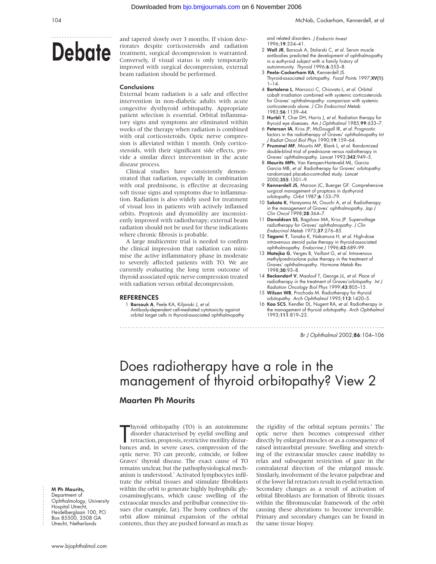## **Debate**

.......................

and tapered slowly over 3 months. If vision deteriorates despite corticosteroids and radiation treatment, surgical decompression is warranted. Conversely, if visual status is only temporarily improved with surgical decompression, external beam radiation should be performed.

#### Conclusions

External beam radiation is a safe and effective intervention in non-diabetic adults with acute congestive dysthyroid orbitopathy. Appropriate patient selection is essential. Orbital inflammatory signs and symptoms are eliminated within weeks of the therapy when radiation is combined with oral corticosteroids. Optic nerve compression is alleviated within 1 month. Only corticosteroids, with their significant side effects, provide a similar direct intervention in the acute disease process.

Clinical studies have consistently demonstrated that radiation, especially in combination with oral prednisone, is effective at decreasing soft tissue signs and symptoms due to inflammation. Radiation is also widely used for treatment of visual loss in patients with actively inflamed orbits. Proptosis and dysmotility are inconsistently improved with radiotherapy; external beam radiation should not be used for these indications where chronic fibrosis is probable.

A large multicentre trial is needed to confirm the clinical impression that radiation can minimise the active inflammatory phase in moderate to severely affected patients with TO. We are currently evaluating the long term outcome of thyroid associated optic nerve compression treated with radiation versus orbital decompression.

#### REFERENCES

Barsouk A, Peele KA, Kiljanski J, et al. Antibody-dependent cell-mediated cytotoxicity against orbital target cells in thyroid-associated ophthalmopathy and related disorders. J Endocrin Invest 1996;19:334–41.

- 2 Wall JR, Barsouk A, Stolarski C, et al. Serum muscle antibodies predicted the development of ophthalmopathy in a euthyroid subject with a family history of autoimmunity. Thyroid 1996;6:353–8.
- 3 Peele-Cockerham KA, Kennerdell JS. Thyroid-associated orbitopathy. Focal Points 1997;XV(1):  $1 - 14$
- 4 Bartalena L, Marcocci C, Chiovato L, et al. Orbital cobalt irradiation combined with systemic corticosteroids for Graves' ophthalmopathy: comparison with systemic corticosteroids alone. J Clin Endocrinol Metab 1983;56:1139–44.
- 5 Hurbli T, Char DH, Harris J, et al. Radiation therapy for thyroid eye diseases. Am J Ophthalmol 1985;99:633-7.
- 6 Peterson IA, Kriss JP, McDougall IR, et al. Prognostic factors in the radiotherapy of Graves' ophthalmopathy Int J Radiat Oncol Biol Phys 1990;19:159–64.
- 7 Prummel MF, Mourtis MP, Blank L, et al. Randomized double-blind trial of prednisone versus radiotherapy in Graves' ophthalmopathy. Lancet 1993;342:949–5.
- 8 Mourits MPh, Van Kempen-Harteveld ML, Garcia Garcia MB, et al. Radiotherapy for Graves' orbitopathy: randomized placebo-controlled study. Lancet 2000;355:1501–9.
- 9 Kennerdell JS, Maroon JC, Buerger GF. Comprehensive surgical management of proptosis in dysthyroid orbitopathy. Orbit 1987;6:153–79.
- 10 Sakata K, Hareyama M, Oouchi A, et al. Radiotherapy in the management of Graves' ophthalmopathy. Jap J Clin Oncol 1998;28:364-7
- 11 Donaldson SS, Bagshaw MA, Kriss JP. Supervoltage radiotherapy for Graves' ophthalmopathy. J Clin Endocrinol Metab 1973;37:276–85.
- 12 Tagami T, Tanaka K, Nakamura H, et al. High-dose intravenous steroid pulse therapy in thyroid-associated ophthalmopathy. Endocrine J 1996;43:689–99.
- 13 Matejka G, Verges B, Vaillant G, et al. Intravenous methylprednisolone pulse therapy in the treatment of Graves' ophthalmopathy. Hormone Metab Res 1998;30:93–8.
- 14 Beckendorf V, Maalouf T, George J-L, et al. Place of radiotherapy in the treatment of Graves'orbitopathy. Int J Radiation Oncology Biol Phys 1999;43:805–15.
- 15 Wilson WB, Prochoda M. Radiotherapy for thyroid orbitopathy. Arch Ophthalmol 1995;113:1420-5.
- 16 Kao SCS, Kendler DL, Nugent RA, et al. Radiotherapy in the management of thyroid orbitopathy. Arch Ophthalmol 1993;111:819–23.

Br J Ophthalmol 2002;86:104–106

### Does radiotherapy have a role in the management of thyroid orbitopathy? View 2

................................................................................................. ....

#### Maarten Ph Mourits

hyroid orbitopathy (TO) is an autoimmune<br>disorder characterised by eyelid swelling and<br>retraction, proptosis, restrictive motility distur-<br>bances and, in severe cases, compression of the hyroid orbitopathy (TO) is an autoimmune disorder characterised by eyelid swelling and retraction, proptosis, restrictive motility disturoptic nerve. TO can precede, coincide, or follow Graves' thyroid disease. The exact cause of TO remains unclear, but the pathophysiological mechanism is understood.<sup>1</sup> Activated lymphocytes infiltrate the orbital tissues and stimulate fibroblasts within the orbit to generate highly hydrophilic glycosaminoglycans, which cause swelling of the extraocular muscles and peribulbar connective tissues (for example, fat). The bony confines of the orbit allow minimal expansion of the orbital contents, thus they are pushed forward as much as

the rigidity of the orbital septum permits.<sup>2</sup> The optic nerve then becomes compressed either directly by enlarged muscles or as a consequence of raised intraorbital pressure. Swelling and stretching of the extraocular muscles cause inability to relax and subsequent restriction of gaze in the contralateral direction of the enlarged muscle. Similarly, involvement of the levator palpebrae and of the lower lid retractors result in eyelid retraction. Secondary changes as a result of activation of orbital fibroblasts are formation of fibrotic tissues within the fibromuscular framework of the orbit causing these alterations to become irreversible. Primary and secondary changes can be found in the same tissue biopsy.

M Ph Mourits, Department of

................

Ophthalmology, University Hospital Utrecht, Heidelberglaan 100, PO Box 85500, 3508 GA Utrecht, Netherlands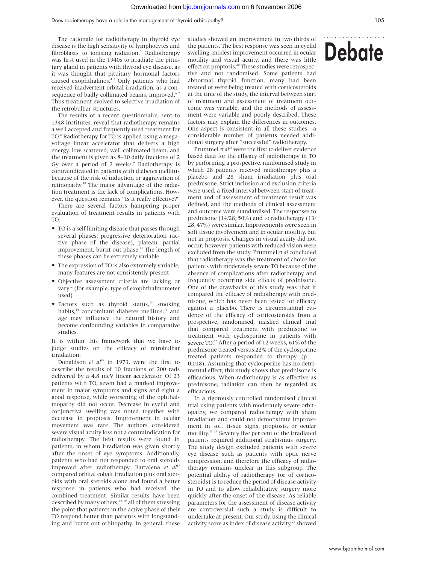The rationale for radiotherapy in thyroid eye disease is the high sensitivity of lymphocytes and fibroblasts to ionising radiation.<sup>3</sup> Radiotherapy was first used in the 1940s to irradiate the pituitary gland in patients with thyroid eye disease, as it was thought that pituitary hormonal factors caused exophthalmos.<sup>45</sup> Only patients who had received inadvertent orbital irradiation, as a consequence of badly collimated beams, improved.<sup>67</sup> Thus treatment evolved to selective irradiation of the retrobulbar structures.

The results of a recent questionnaire, sent to 1348 institutes, reveal that radiotherapy remains a well accepted and frequently used treatment for TO.<sup>8</sup> Radiotherapy for TO is applied using a megavoltage linear accelerator that delivers a high energy, low scattered, well collimated beam, and the treatment is given as 8–10 daily fractions of 2 Gy over a period of 2 weeks.<sup>9</sup> Radiotherapy is contraindicated in patients with diabetes mellitus because of the risk of induction or aggravation of retinopathy.10 The major advantage of the radiation treatment is the lack of complications. However, the question remains "Is it really effective?"

There are several factors hampering proper evaluation of treatment results in patients with TO:

- TO is a self limiting disease that passes through several phases: progressive deterioration (active phase of the disease), plateau, partial improvement, burnt out phase.<sup>11</sup> The length of these phases can be extremely variable
- The expression of TO is also extremely variable; many features are not consistently present
- Objective assessment criteria are lacking or vary<sup>12</sup> (for example, type of exophthalmometer used)
- Factors such as thyroid status,<sup>13</sup> smoking habits,<sup>14</sup> concomitant diabetes mellitus,<sup>15</sup> and age may influence the natural history and become confounding variables in comparative studies.

It is within this framework that we have to judge studies on the efficacy of retrobulbar irradiation.

Donaldson *et al*<sup>16</sup> in 1973, were the first to describe the results of 10 fractions of 200 rads delivered by a 4.8 meV linear accelerator. Of 23 patients with TO, seven had a marked improvement in major symptoms and signs and eight a good response, while worsening of the ophthalmopathy did not occur. Decrease in eyelid and conjunctiva swelling was noted together with decrease in proptosis. Improvement in ocular movement was rare. The authors considered severe visual acuity loss not a contraindication for radiotherapy. The best results were found in patients, in whom irradiation was given shortly after the onset of eye symptoms. Additionally, patients who had not responded to oral steroids improved after radiotherapy. Bartalena *et al*<sup>17</sup> compared orbital cobalt irradiation plus oral steroids with oral steroids alone and found a better response in patients who had received the combined treatment. Similar results have been described by many others,<sup>18</sup> <sup>19</sup> all of them stressing the point that patients in the active phase of their TO respond better than patients with longstanding and burnt out orbitopathy. In general, these

studies showed an improvement in two thirds of the patients. The best response was seen in eyelid swelling, modest improvement occurred in ocular motility and visual acuity, and there was little effect on proptosis.20 These studies were retrospective and not randomised. Some patients had abnormal thyroid function, many had been treated or were being treated with corticosteroids at the time of the study, the interval between start of treatment and assessment of treatment outcome was variable, and the methods of assessment were variable and poorly described. These factors may explain the differences in outcomes. One aspect is consistent in all these studies—a considerable number of patients needed additional surgery after "successful" radiotherapy.

Prummel *et al*<sup>21</sup> were the first to deliver evidence based data for the efficacy of radiotherapy in TO by performing a prospective, randomised study in which 28 patients received radiotherapy plus a placebo and 28 sham irradiation plus oral prednisone. Strict inclusion and exclusion criteria were used, a fixed interval between start of treatment and of assessment of treatment result was defined, and the methods of clinical assessment and outcome were standardised. The responses to prednisone (14/28; 50%) and to radiotherapy (13/ 28; 47%) were similar. Improvements were seen in soft tissue involvement and in ocular motility, but not in proptosis. Changes in visual acuity did not occur; however, patients with reduced vision were excluded from the study. Prummel *et al* concluded that radiotherapy was the treatment of choice for patients with moderately severe TO because of the absence of complications after radiotherapy and frequently occurring side effects of prednisone. One of the drawbacks of this study was that it compared the efficacy of radiotherapy with prednisone, which has never been tested for efficacy against a placebo. There is circumstantial evidence of the efficacy of corticosteroids from a prospective, randomised, masked clinical trial that compared treatment with prednisone to treatment with cyclosporine in patients with severe TO.<sup>22</sup> After a period of 12 weeks, 61% of the prednisone treated versus 22% of the cyclosporine treated patients responded to therapy (p = 0.018). Assuming that cyclosporine has no detrimental effect, this study shows that prednisone is efficacious. When radiotherapy is as effective as prednisone, radiation can then be regarded as efficacious.

In a rigorously controlled randomised clinical trial using patients with moderately severe orbitopathy, we compared radiotherapy with sham irradiation and could not demonstrate improvement in soft tissue signs, proptosis, or ocular motility.23–25 Seventy five per cent of the irradiated patients required additional strabismus surgery. The study design excluded patients with severe eye disease such as patients with optic nerve compression, and therefore the efficacy of radiotherapy remains unclear in this subgroup. The potential ability of radiotherapy (or of corticosteroids) is to reduce the period of disease activity in TO and to allow rehabilitative surgery more quickly after the onset of the disease. As reliable parameters for the assessment of disease activity are controversial such a study is difficult to undertake at present. Our study, using the clinical activity score as index of disease activity, $26$  showed

# **Debate**

.......................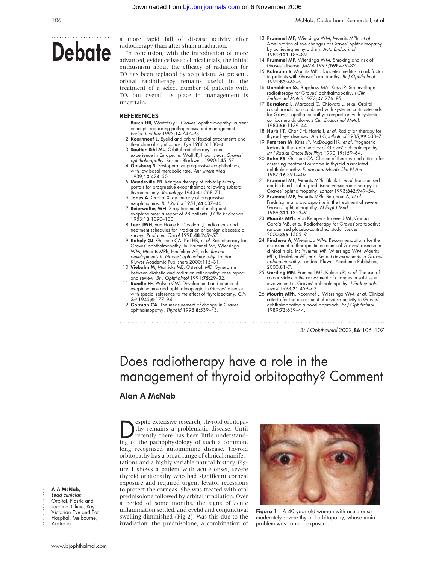### **Debate**

.......................

a more rapid fall of disease activity after radiotherapy than after sham irradiation.

In conclusion, with the introduction of more advanced, evidence based clinical trials, the initial enthusiasm about the efficacy of radiation for TO has been replaced by scepticism. At present, orbital radiotherapy remains useful in the treatment of a select number of patients with TO, but overall its place in management is uncertain.

#### **REFERENCES**

- 1 Burch HB, Wartofsky L. Graves' ophthalmopathy: current concepts regarding pathogenesis and management. Endocrinol Rev 1993;14:747–93.
- 2 Koornneef L. Eyelid and orbital fascial attachments and their clinical significance. Eye 1988;2:130–4.
- 3 Sautter-Bihl ML. Orbital radiotherapy: recent experience in Europe. In: Wall JR, How J, eds. Graves' ophthalmopathy. Boston: Blackwell, 1990:145–57.
- 4 Ginsburg S. Postoperative progressive exophthalmos, with low basal metabolic rate. Ann Intern Med 1939;13:424–50.
- 5 Mandeville FB. Röntgen therapy of orbital-pituitary portals for progressive exophthalmos following subtotal
- thyroidectomy. Radiology 1943;41:268–71. 6 Jones A. Orbital X-ray therapy of progressive exophthalmos. Br J Radiol 1951;24:637–46.
- Beierwaltes WH. X-ray treatment of malignant exophthalmos: a report of 28 patients. J Clin Endocrinol 1953;13:1090–100.
- 8 Leer JWH, van Houte P, Davelaar J. Indications and treatment schedules for irradiation of benign diseases: a survey. Radiather Oncol 1998;48:249–57.
- 9 Kahaly GJ, Gorman CA, Kal HB, et al. Radiotherapy for Graves' ophthalmopathy. In: Prummel MF, Wiersinga WM, Mourits MPh, Heufelder AE, eds. Recent developments in Graves' ophthalmopathy. London: Kluwer Academic Publishers 2000:115–31.
- 10 Viebahn M, Marricks ME, Osterloh MD. Synergism between diabetic and radiation retinopathy: case report and review. *Br J Ophthalmol* 1991;**75**:29–32.
- 11 **Rundle FF**, Wilson CW. Development and course of exophthalmos and ophthalmoplegia in Graves' disease with special reference to the effect of thyroidectomy. Clin Sci 1945;5:177–94.
- 12 Gorman CA. The measurement of change in Graves' ophthalmopathy. Thyroid 1998;8:539–43.
- Amelioration of eye changes of Graves' ophthalmopathy by achieving euthyroidism. *Acta Endocrinol*<br>1989;**121**:185–89.
- 14 Prummel MF, Wiersinga WM. Smoking and risk of Graves' disease. JAMA 1993;269:479–82.
- 15 Kalmann R, Mourits MPh. Diabetes mellitus: a risk factor in patients with Graves' orbitopathy. Br J Ophthalmol 1999;83:463–5.
- 16 Donaldson SS, Bagshaw MA, Kriss JP. Supervoltage radiotherapy for Graves' ophthalmopathy. J Clin Endocrinol Metab 1973;37:276–85.
- 17 Bartalena L, Marcocci C, Chiovato L, et al. Orbital cobalt irradiation combined with systemic corticosteroids for Graves' ophthalmopathy: comparison with systemic corticosteroids alone. J Clin Endocrinol Metab 1983;56:1139–44.
- 18 Hurbli T, Char DH, Harris J, et al. Radiation therapy for thyroid eye diseases. Am J Ophthalmol 1985;99:633–7.
- 19 Petersen IA, Kriss JP, McDougall IR, et al. Prognostic factors in the radiotherapy of Graves' ophthalmopathy. Int J Radiat Oncol Biol Phys 1990;19:159–64.
- 20 **Bahn RS**, Gorman CA. Choice of therapy and criteria for assessing treatment outcome in thyroid associated ophthalmopathy. Endocrinol Metab Clin N Am 1987;16:391–407.
- 21 Prummel MF, Mourits MPh, Blank L, et al. Randomised double-blind trial of prednisone versus radiotherapy in Graves' ophthalmopathy. Lancet 1993;342:949–54.
- 22 Prummel MF, Mourits MPh, Berghout A, et al. Prednisone and cyclosporine in the treatment of severe Graves' ophthalmopathy. *N Engl J Med*<br>1989;**321**:1353–9.
- 23 Mourits MPh, Van Kempen-Harteveld ML, García García MB, et al. Radiotherapy for Graves'orbitopathy: randomised placebo-controlled study. Lancet 2000;355:1505–9.
- 24 Pinchera A, Wiersinga WM. Recommendations for the assessment of therapeutic outcome of Graves' disease in clinical trials. In: Prummel MF, Wiersinga WM, Mourits MPh, Heufelder AE, eds. Recent developments in Graves' ophthalmopathy. London: Kluwer Academic Publishers, 2000:81–7.
- 25 Gerding MN, Prummel MF, Kalman R, et al. The use of colour slides in the assessment of changes in soft-tissue involvement in Graves' ophthalmopathy. J Endocrinolol Invest 1998;21:459–62.
- 26 Mourits MPh, Koornnef L, Wiersinga WM, et al. Clinical criteria for the assessment of disease activity in Graves' ophthalmopathy: a novel approach. Br J  $O$ phthalmol 1989;73:639–44.

Br J Ophthalmol 2002;86:106–107

### Does radiotherapy have a role in the management of thyroid orbitopathy? Comment

................................................................................................. ....

### Alan A McNab

**Example 25** extensive research, thyroid orbitopa-<br>thy remains a problematic disease. Until<br>recently, there has been little understand-<br>ing of the nathonhysiology of such a common thy remains a problematic disease. Until recently, there has been little understanding of the pathophysiology of such a common, long recognised autoimmune disease. Thyroid orbitopathy has a broad range of clinical manifestations and a highly variable natural history. Figure 1 shows a patient with acute onset, severe thyroid orbitopathy who had significant corneal exposure and required urgent levator recessions to protect the corneas. She was treated with oral prednisolone followed by orbital irradiation. Over a period of some months, the signs of acute inflammation settled, and eyelid and conjunctival swelling diminished (Fig 2). Was this due to the irradiation, the prednisolone, a combination of



Figure 1 A 40 year old woman with acute onset moderately severe thyroid orbitopathy, whose main problem was corneal exposure.

#### A A McNab,

................

Lead clinician Orbital, Plastic and Lacrimal Clinic, Royal Victorian Eye and Ear Hospital, Melbourne, Australia